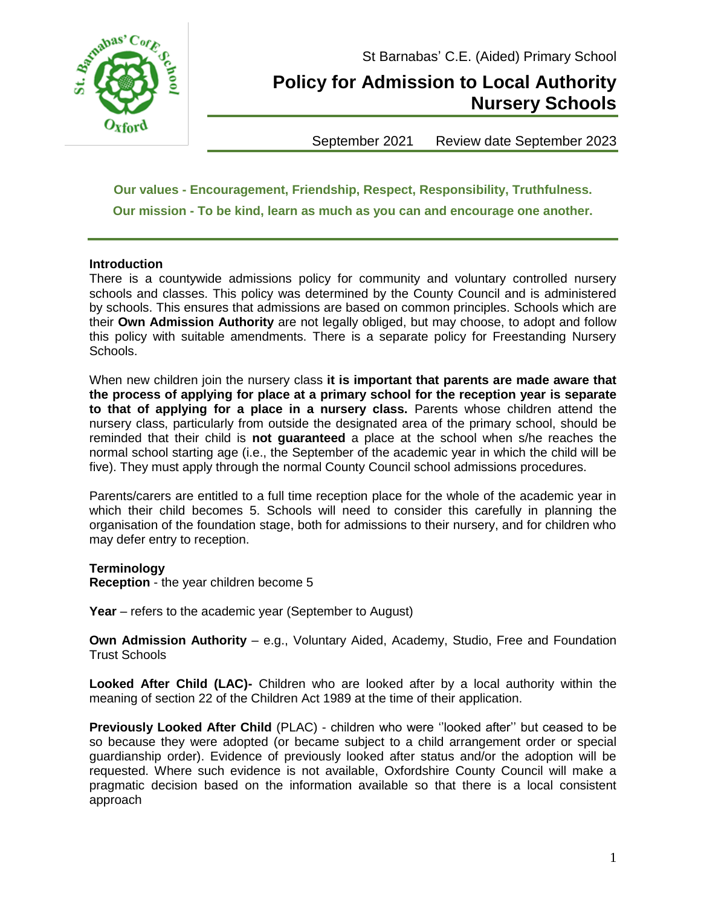St Barnabas' C.E. (Aided) Primary School



# **Policy for Admission to Local Authority Nursery Schools**

September 2021 Review date September 2023

**Our values - Encouragement, Friendship, Respect, Responsibility, Truthfulness. Our mission - To be kind, learn as much as you can and encourage one another.**

# **Introduction**

There is a countywide admissions policy for community and voluntary controlled nursery schools and classes. This policy was determined by the County Council and is administered by schools. This ensures that admissions are based on common principles. Schools which are their **Own Admission Authority** are not legally obliged, but may choose, to adopt and follow this policy with suitable amendments. There is a separate policy for Freestanding Nursery Schools.

When new children join the nursery class **it is important that parents are made aware that the process of applying for place at a primary school for the reception year is separate to that of applying for a place in a nursery class.** Parents whose children attend the nursery class, particularly from outside the designated area of the primary school, should be reminded that their child is **not guaranteed** a place at the school when s/he reaches the normal school starting age (i.e., the September of the academic year in which the child will be five). They must apply through the normal County Council school admissions procedures.

Parents/carers are entitled to a full time reception place for the whole of the academic year in which their child becomes 5. Schools will need to consider this carefully in planning the organisation of the foundation stage, both for admissions to their nursery, and for children who may defer entry to reception.

# **Terminology**

**Reception** - the year children become 5

**Year** – refers to the academic year (September to August)

**Own Admission Authority** – e.g., Voluntary Aided, Academy, Studio, Free and Foundation Trust Schools

**Looked After Child (LAC)-** Children who are looked after by a local authority within the meaning of section 22 of the Children Act 1989 at the time of their application.

**Previously Looked After Child** (PLAC) - children who were ''looked after'' but ceased to be so because they were adopted (or became subject to a child arrangement order or special guardianship order). Evidence of previously looked after status and/or the adoption will be requested. Where such evidence is not available, Oxfordshire County Council will make a pragmatic decision based on the information available so that there is a local consistent approach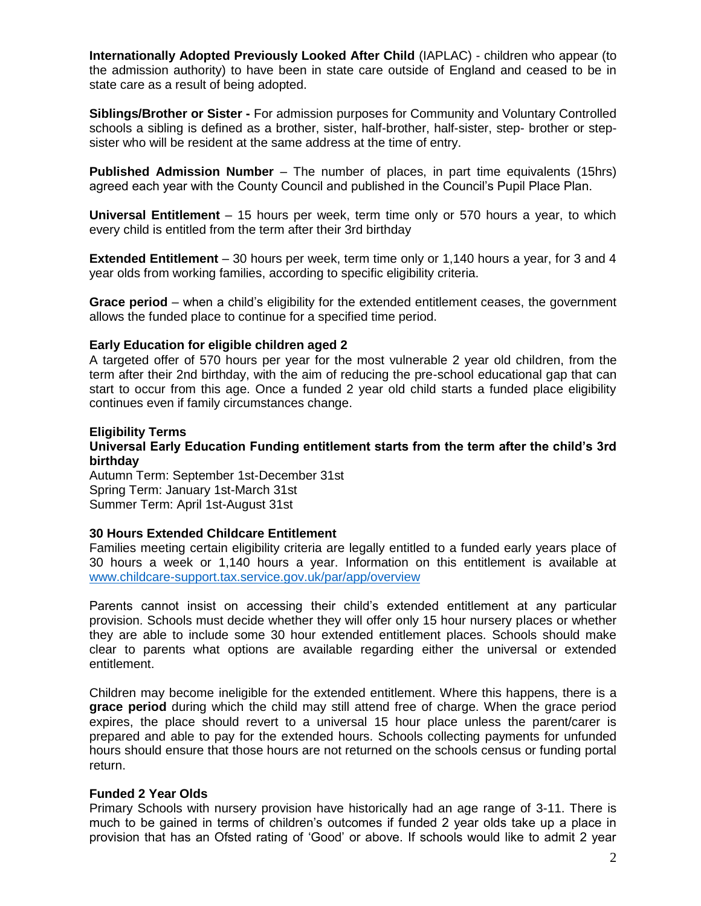**Internationally Adopted Previously Looked After Child** (IAPLAC) - children who appear (to the admission authority) to have been in state care outside of England and ceased to be in state care as a result of being adopted.

**Siblings/Brother or Sister -** For admission purposes for Community and Voluntary Controlled schools a sibling is defined as a brother, sister, half-brother, half-sister, step- brother or stepsister who will be resident at the same address at the time of entry.

**Published Admission Number** – The number of places, in part time equivalents (15hrs) agreed each year with the County Council and published in the Council's Pupil Place Plan.

**Universal Entitlement** – 15 hours per week, term time only or 570 hours a year, to which every child is entitled from the term after their 3rd birthday

**Extended Entitlement** – 30 hours per week, term time only or 1,140 hours a year, for 3 and 4 year olds from working families, according to specific eligibility criteria.

**Grace period** – when a child's eligibility for the extended entitlement ceases, the government allows the funded place to continue for a specified time period.

## **Early Education for eligible children aged 2**

A targeted offer of 570 hours per year for the most vulnerable 2 year old children, from the term after their 2nd birthday, with the aim of reducing the pre-school educational gap that can start to occur from this age. Once a funded 2 year old child starts a funded place eligibility continues even if family circumstances change.

## **Eligibility Terms**

## **Universal Early Education Funding entitlement starts from the term after the child's 3rd birthday**

Autumn Term: September 1st-December 31st Spring Term: January 1st-March 31st Summer Term: April 1st-August 31st

#### **30 Hours Extended Childcare Entitlement**

Families meeting certain eligibility criteria are legally entitled to a funded early years place of 30 hours a week or 1,140 hours a year. Information on this entitlement is available at [www.childcare-support.tax.service.gov.uk/par/app/overview](http://www.childcare-support.tax.service.gov.uk/par/app/overview)

Parents cannot insist on accessing their child's extended entitlement at any particular provision. Schools must decide whether they will offer only 15 hour nursery places or whether they are able to include some 30 hour extended entitlement places. Schools should make clear to parents what options are available regarding either the universal or extended entitlement.

Children may become ineligible for the extended entitlement. Where this happens, there is a **grace period** during which the child may still attend free of charge. When the grace period expires, the place should revert to a universal 15 hour place unless the parent/carer is prepared and able to pay for the extended hours. Schools collecting payments for unfunded hours should ensure that those hours are not returned on the schools census or funding portal return.

#### **Funded 2 Year Olds**

Primary Schools with nursery provision have historically had an age range of 3-11. There is much to be gained in terms of children's outcomes if funded 2 year olds take up a place in provision that has an Ofsted rating of 'Good' or above. If schools would like to admit 2 year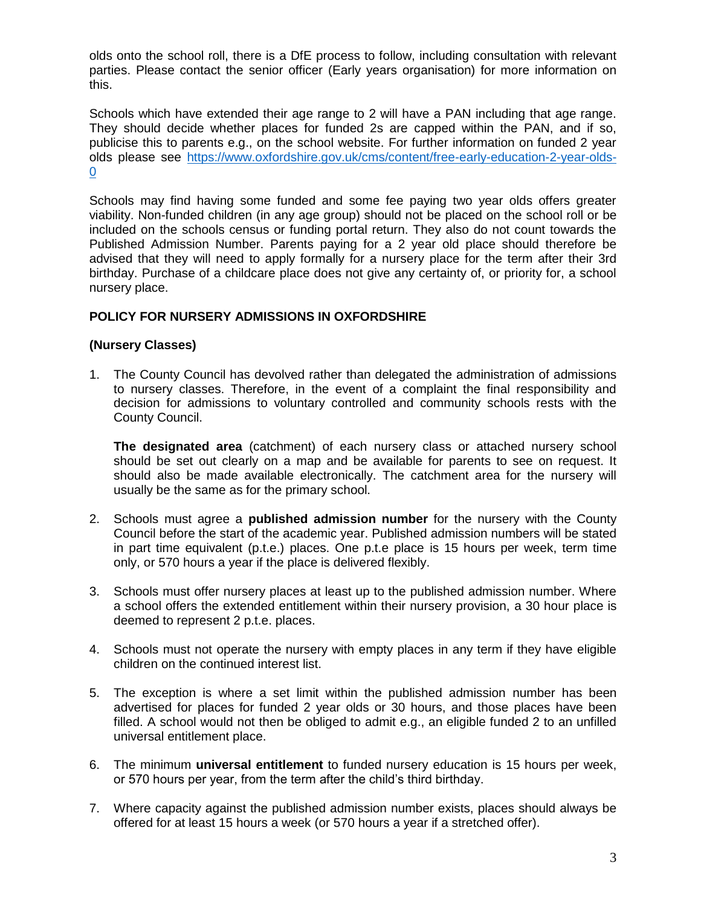olds onto the school roll, there is a DfE process to follow, including consultation with relevant parties. Please contact the senior officer (Early years organisation) for more information on this.

Schools which have extended their age range to 2 will have a PAN including that age range. They should decide whether places for funded 2s are capped within the PAN, and if so, publicise this to parents e.g., on the school website. For further information on funded 2 year olds please see [https://www.oxfordshire.gov.uk/cms/content/free-early-education-2-year-olds-](https://www.oxfordshire.gov.uk/cms/content/free-early-education-2-year-olds-0) $\overline{0}$  $\overline{0}$  $\overline{0}$ 

Schools may find having some funded and some fee paying two year olds offers greater viability. Non-funded children (in any age group) should not be placed on the school roll or be included on the schools census or funding portal return. They also do not count towards the Published Admission Number. Parents paying for a 2 year old place should therefore be advised that they will need to apply formally for a nursery place for the term after their 3rd birthday. Purchase of a childcare place does not give any certainty of, or priority for, a school nursery place.

# **POLICY FOR NURSERY ADMISSIONS IN OXFORDSHIRE**

# **(Nursery Classes)**

1. The County Council has devolved rather than delegated the administration of admissions to nursery classes. Therefore, in the event of a complaint the final responsibility and decision for admissions to voluntary controlled and community schools rests with the County Council.

**The designated area** (catchment) of each nursery class or attached nursery school should be set out clearly on a map and be available for parents to see on request. It should also be made available electronically. The catchment area for the nursery will usually be the same as for the primary school.

- 2. Schools must agree a **published admission number** for the nursery with the County Council before the start of the academic year. Published admission numbers will be stated in part time equivalent (p.t.e.) places. One p.t.e place is 15 hours per week, term time only, or 570 hours a year if the place is delivered flexibly.
- 3. Schools must offer nursery places at least up to the published admission number. Where a school offers the extended entitlement within their nursery provision, a 30 hour place is deemed to represent 2 p.t.e. places.
- 4. Schools must not operate the nursery with empty places in any term if they have eligible children on the continued interest list.
- 5. The exception is where a set limit within the published admission number has been advertised for places for funded 2 year olds or 30 hours, and those places have been filled. A school would not then be obliged to admit e.g., an eligible funded 2 to an unfilled universal entitlement place.
- 6. The minimum **universal entitlement** to funded nursery education is 15 hours per week, or 570 hours per year, from the term after the child's third birthday.
- 7. Where capacity against the published admission number exists, places should always be offered for at least 15 hours a week (or 570 hours a year if a stretched offer).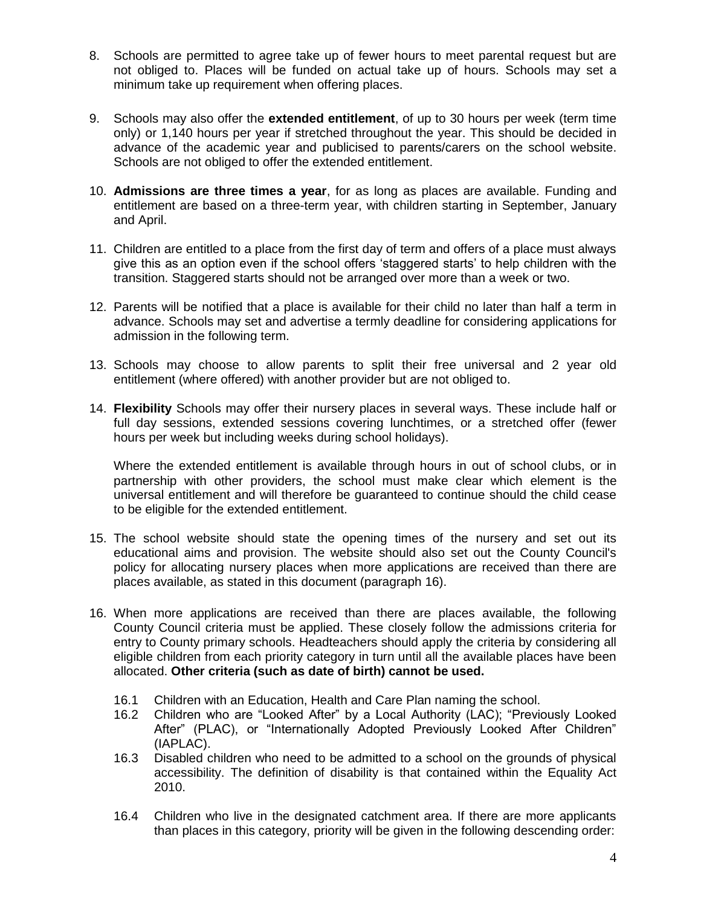- 8. Schools are permitted to agree take up of fewer hours to meet parental request but are not obliged to. Places will be funded on actual take up of hours. Schools may set a minimum take up requirement when offering places.
- 9. Schools may also offer the **extended entitlement**, of up to 30 hours per week (term time only) or 1,140 hours per year if stretched throughout the year. This should be decided in advance of the academic year and publicised to parents/carers on the school website. Schools are not obliged to offer the extended entitlement.
- 10. **Admissions are three times a year**, for as long as places are available. Funding and entitlement are based on a three-term year, with children starting in September, January and April.
- 11. Children are entitled to a place from the first day of term and offers of a place must always give this as an option even if the school offers 'staggered starts' to help children with the transition. Staggered starts should not be arranged over more than a week or two.
- 12. Parents will be notified that a place is available for their child no later than half a term in advance. Schools may set and advertise a termly deadline for considering applications for admission in the following term.
- 13. Schools may choose to allow parents to split their free universal and 2 year old entitlement (where offered) with another provider but are not obliged to.
- 14. **Flexibility** Schools may offer their nursery places in several ways. These include half or full day sessions, extended sessions covering lunchtimes, or a stretched offer (fewer hours per week but including weeks during school holidays).

Where the extended entitlement is available through hours in out of school clubs, or in partnership with other providers, the school must make clear which element is the universal entitlement and will therefore be guaranteed to continue should the child cease to be eligible for the extended entitlement.

- 15. The school website should state the opening times of the nursery and set out its educational aims and provision. The website should also set out the County Council's policy for allocating nursery places when more applications are received than there are places available, as stated in this document (paragraph 16).
- 16. When more applications are received than there are places available, the following County Council criteria must be applied. These closely follow the admissions criteria for entry to County primary schools. Headteachers should apply the criteria by considering all eligible children from each priority category in turn until all the available places have been allocated. **Other criteria (such as date of birth) cannot be used.** 
	- 16.1 Children with an Education, Health and Care Plan naming the school.
	- 16.2 Children who are "Looked After" by a Local Authority (LAC); "Previously Looked After" (PLAC), or "Internationally Adopted Previously Looked After Children" (IAPLAC).
	- 16.3 Disabled children who need to be admitted to a school on the grounds of physical accessibility. The definition of disability is that contained within the Equality Act 2010.
	- 16.4 Children who live in the designated catchment area. If there are more applicants than places in this category, priority will be given in the following descending order: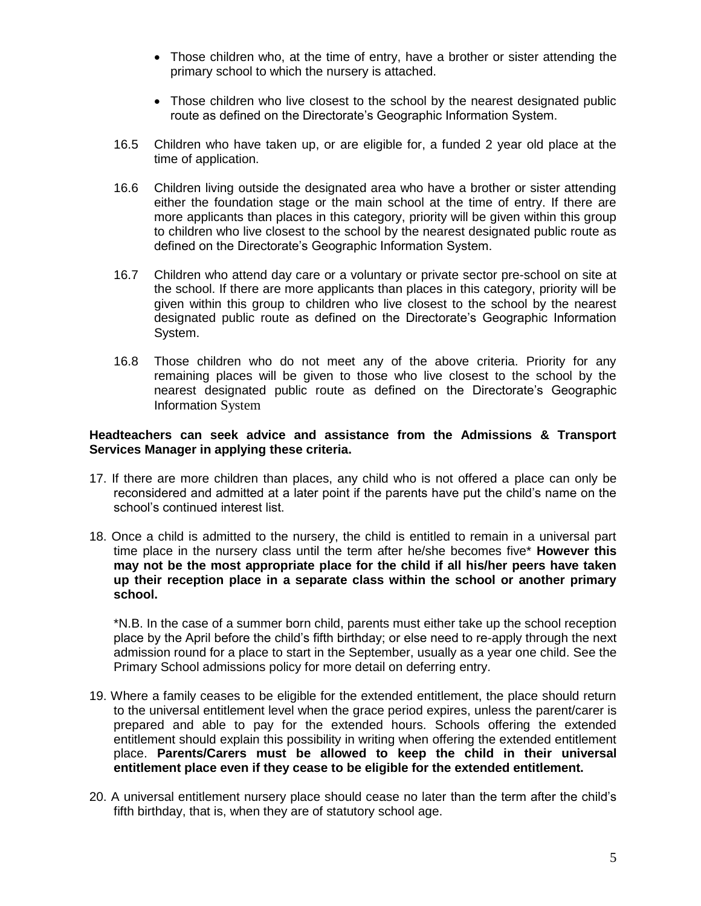- Those children who, at the time of entry, have a brother or sister attending the primary school to which the nursery is attached.
- Those children who live closest to the school by the nearest designated public route as defined on the Directorate's Geographic Information System.
- 16.5 Children who have taken up, or are eligible for, a funded 2 year old place at the time of application.
- 16.6 Children living outside the designated area who have a brother or sister attending either the foundation stage or the main school at the time of entry. If there are more applicants than places in this category, priority will be given within this group to children who live closest to the school by the nearest designated public route as defined on the Directorate's Geographic Information System.
- 16.7 Children who attend day care or a voluntary or private sector pre-school on site at the school. If there are more applicants than places in this category, priority will be given within this group to children who live closest to the school by the nearest designated public route as defined on the Directorate's Geographic Information System.
- 16.8 Those children who do not meet any of the above criteria. Priority for any remaining places will be given to those who live closest to the school by the nearest designated public route as defined on the Directorate's Geographic Information System

## **Headteachers can seek advice and assistance from the Admissions & Transport Services Manager in applying these criteria.**

- 17. If there are more children than places, any child who is not offered a place can only be reconsidered and admitted at a later point if the parents have put the child's name on the school's continued interest list.
- 18. Once a child is admitted to the nursery, the child is entitled to remain in a universal part time place in the nursery class until the term after he/she becomes five\* **However this may not be the most appropriate place for the child if all his/her peers have taken up their reception place in a separate class within the school or another primary school.**

\*N.B. In the case of a summer born child, parents must either take up the school reception place by the April before the child's fifth birthday; or else need to re-apply through the next admission round for a place to start in the September, usually as a year one child. See the Primary School admissions policy for more detail on deferring entry.

- 19. Where a family ceases to be eligible for the extended entitlement, the place should return to the universal entitlement level when the grace period expires, unless the parent/carer is prepared and able to pay for the extended hours. Schools offering the extended entitlement should explain this possibility in writing when offering the extended entitlement place. **Parents/Carers must be allowed to keep the child in their universal entitlement place even if they cease to be eligible for the extended entitlement.**
- 20. A universal entitlement nursery place should cease no later than the term after the child's fifth birthday, that is, when they are of statutory school age.